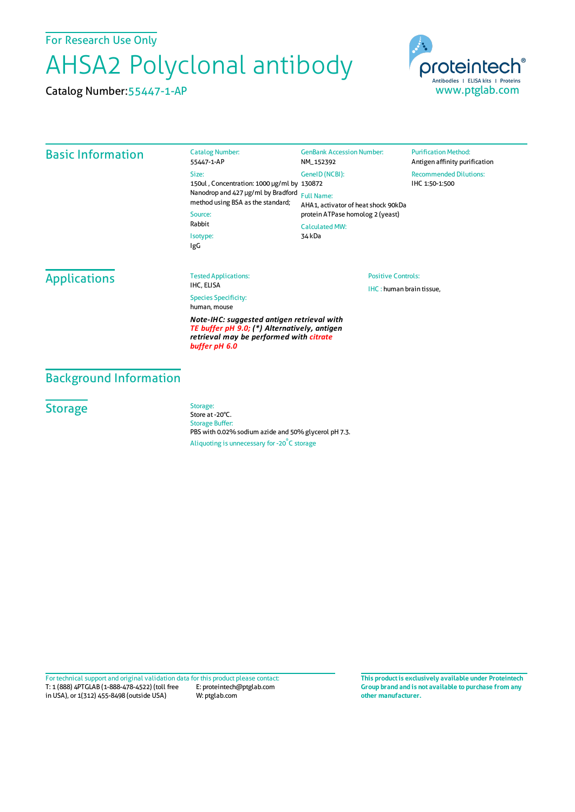For Research Use Only

## AHSA2 Polyclonal antibody

Catalog Number:55447-1-AP



| <b>Basic Information</b>                                                                                                                               | <b>Catalog Number:</b><br>55447-1-AP                                                                                                                                   | <b>GenBank Accession Number:</b><br>NM_152392                                                | <b>Purification Method:</b><br>Antigen affinity purification |
|--------------------------------------------------------------------------------------------------------------------------------------------------------|------------------------------------------------------------------------------------------------------------------------------------------------------------------------|----------------------------------------------------------------------------------------------|--------------------------------------------------------------|
|                                                                                                                                                        | Size:<br>150ul, Concentration: 1000 µg/ml by 130872<br>Nanodrop and 427 µg/ml by Bradford<br>method using BSA as the standard;<br>Source:<br>Rabbit<br>Isotype:<br>IgG | GenelD (NCBI):                                                                               | <b>Recommended Dilutions:</b><br>IHC 1:50-1:500              |
|                                                                                                                                                        |                                                                                                                                                                        | <b>Full Name:</b><br>AHA1, activator of heat shock 90kDa<br>protein ATPase homolog 2 (yeast) |                                                              |
|                                                                                                                                                        |                                                                                                                                                                        |                                                                                              |                                                              |
|                                                                                                                                                        |                                                                                                                                                                        | 34 kDa                                                                                       |                                                              |
|                                                                                                                                                        |                                                                                                                                                                        | <b>Applications</b>                                                                          | <b>Tested Applications:</b>                                  |
| <b>Species Specificity:</b><br>human, mouse                                                                                                            |                                                                                                                                                                        |                                                                                              |                                                              |
| Note-IHC: suggested antigen retrieval with<br>TE buffer pH 9.0; (*) Alternatively, antigen<br>retrieval may be performed with citrate<br>buffer pH 6.0 |                                                                                                                                                                        |                                                                                              |                                                              |

## Background Information

## **Storage**

Storage: Store at -20°C. Storage Buffer: PBS with 0.02% sodium azide and 50% glycerol pH 7.3. Aliquoting is unnecessary for -20<sup>°</sup>C storage

T: 1 (888) 4PTGLAB (1-888-478-4522) (toll free in USA), or 1(312) 455-8498 (outside USA) E: proteintech@ptglab.com W: ptglab.com Fortechnical support and original validation data forthis product please contact: **This productis exclusively available under Proteintech**

**Group brand and is not available to purchase from any other manufacturer.**